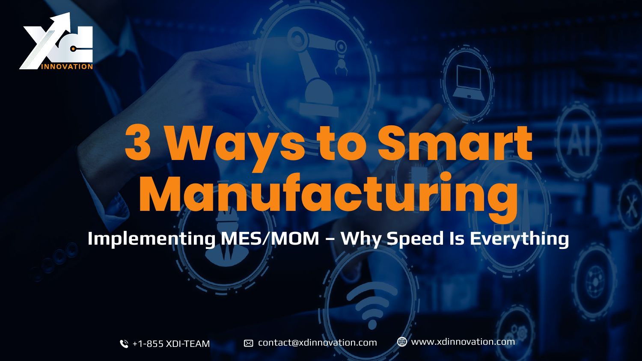

# **3 Ways to Smart Manufacturing Implementing MES/MOM – Why Speed Is Everything**

 $\mathbb{C}$  +1-855 XDI-TEAM  $\qquad \boxtimes$  contact@xdinnovation.com  $\qquad$  www.xdinnovation.com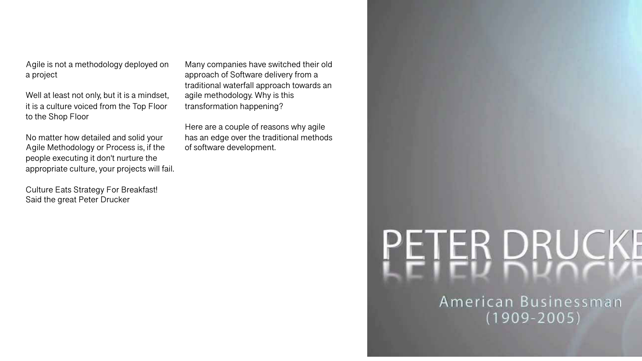Agile is not a methodology deployed on a project

Well at least not only, but it is a mindset, it is a culture voiced from the Top Floor to the Shop Floor

No matter how detailed and solid your Agile Methodology or Process is, if the people executing it don't nurture the appropriate culture, your projects will fail.

Culture Eats Strategy For Breakfast! Said the great Peter Drucker

Many companies have switched their old approach of Software delivery from a traditional waterfall approach towards an agile methodology. Why is this transformation happening?

Here are a couple of reasons why agile has an edge over the traditional methods of software development.

# PETER DRUCKE

American Businessman  $(1909 - 2005)$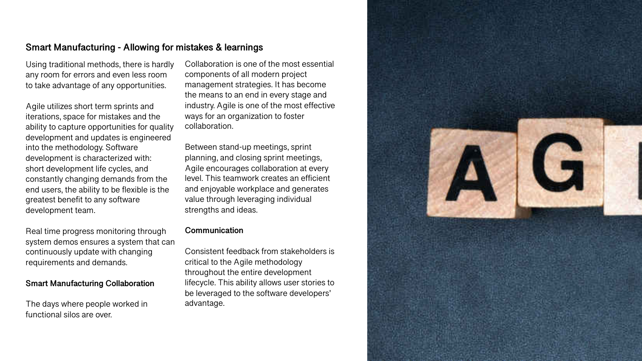## **Smart Manufacturing - Allowing for mistakes & learnings**

Using traditional methods, there is hardly any room for errors and even less room to take advantage of any opportunities.

Agile utilizes short term sprints and iterations, space for mistakes and the ability to capture opportunities for quality development and updates is engineered into the methodology. Software development is characterized with: short development life cycles, and constantly changing demands from the end users, the ability to be flexible is the greatest benefit to any software development team.

Real time progress monitoring through system demos ensures a system that can continuously update with changing requirements and demands.

#### **Smart Manufacturing Collaboration**

The days where people worked in functional silos are over.

Collaboration is one of the most essential components of all modern project management strategies. It has become the means to an end in every stage and industry. Agile is one of the most effective ways for an organization to foster collaboration.

Between stand-up meetings, sprint planning, and closing sprint meetings, Agile encourages collaboration at every level. This teamwork creates an efficient and enjoyable workplace and generates value through leveraging individual strengths and ideas.

#### **Communication**

Consistent feedback from stakeholders is critical to the Agile methodology throughout the entire development lifecycle. This ability allows user stories to be leveraged to the software developers' advantage.

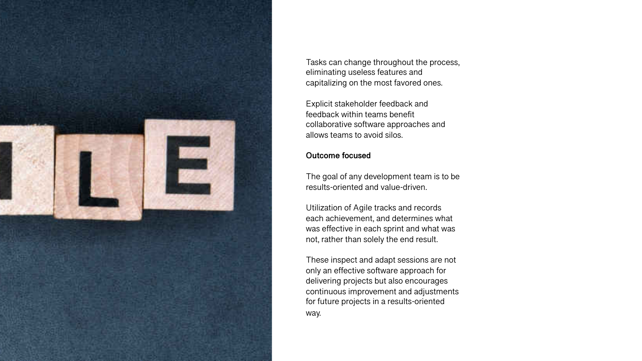

Tasks can change throughout the process, eliminating useless features and capitalizing on the most favored ones.

Explicit stakeholder feedback and feedback within teams benefit collaborative software approaches and allows teams to avoid silos.

#### **Outcome focused**

The goal of any development team is to be results-oriented and value-driven.

Utilization of Agile tracks and records each achievement, and determines what was effective in each sprint and what was not, rather than solely the end result.

These inspect and adapt sessions are not only an effective software approach for delivering projects but also encourages continuous improvement and adjustments for future projects in a results-oriented way.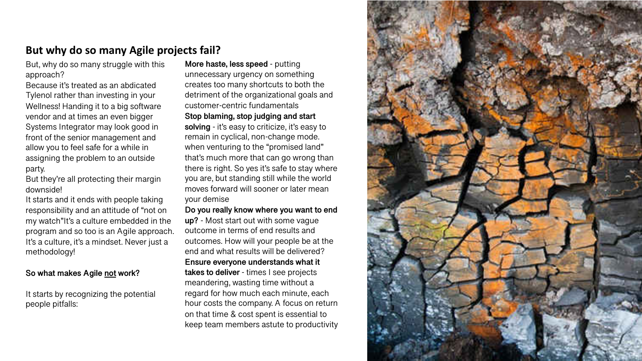# **But why do so many Agile projects fail?**

But, why do so many struggle with this approach?

Because it's treated as an abdicated Tylenol rather than investing in your Wellness! Handing it to a big software vendor and at times an even bigger Systems Integrator may look good in front of the senior management and allow you to feel safe for a while in assigning the problem to an outside party.

But they're all protecting their margin downside!

It starts and it ends with people taking responsibility and an attitude of "not on my watch"It's a culture embedded in the program and so too is an Agile approach. It's a culture, it's a mindset. Never just a methodology!

#### **So what makes Agile not work?**

It starts by recognizing the potential people pitfalls:

**More haste, less speed** - putting unnecessary urgency on something creates too many shortcuts to both the detriment of the organizational goals and customer-centric fundamentals **Stop blaming, stop judging and start solving** - it's easy to criticize, it's easy to remain in cyclical, non-change mode. when venturing to the "promised land" that's much more that can go wrong than there is right. So yes it's safe to stay where you are, but standing still while the world moves forward will sooner or later mean your demise

**Do you really know where you want to end up?** - Most start out with some vague outcome in terms of end results and outcomes. How will your people be at the end and what results will be delivered? **Ensure everyone understands what it takes to deliver** - times I see projects meandering, wasting time without a regard for how much each minute, each hour costs the company. A focus on return on that time & cost spent is essential to keep team members astute to productivity

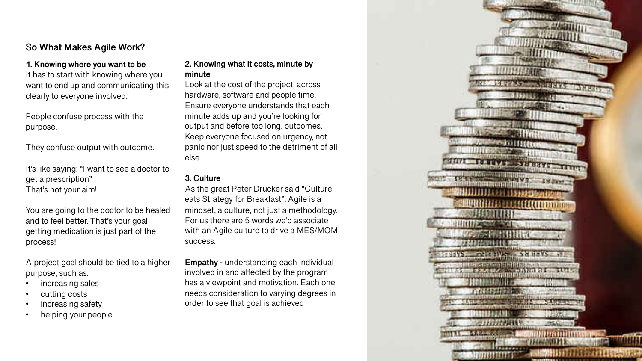# **So What Makes Agile Work?**

# **1. Knowing where you want to be**

It has to start with knowing where you want to end up and communicating this clearly to everyone involved.

People confuse process with the purpose.

They confuse output with outcome.

It's like saying: "I want to see a doctor to get a prescription" That's not your aim!

You are going to the doctor to be healed and to feel better. That's your goal getting medication is just part of the process!

A project goal should be tied to a higher purpose, such as:

- increasing sales
- cutting costs
- increasing safety
- helping your people

#### **2. Knowing what it costs, minute by minute**

Look at the cost of the project, across hardware, software and people time. Ensure everyone understands that each minute adds up and you're looking for output and before too long, outcomes. Keep everyone focused on urgency, not panic nor just speed to the detriment of all else.

#### **3. Culture**

As the great Peter Drucker said "Culture eats Strategy for Breakfast". Agile is a mindset, a culture, not just a methodology. For us there are 5 words we'd associate with an Agile culture to drive a MES/MOM success:

**Empathy** - understanding each individual involved in and affected by the program has a viewpoint and motivation. Each one needs consideration to varying degrees in order to see that goal is achieved